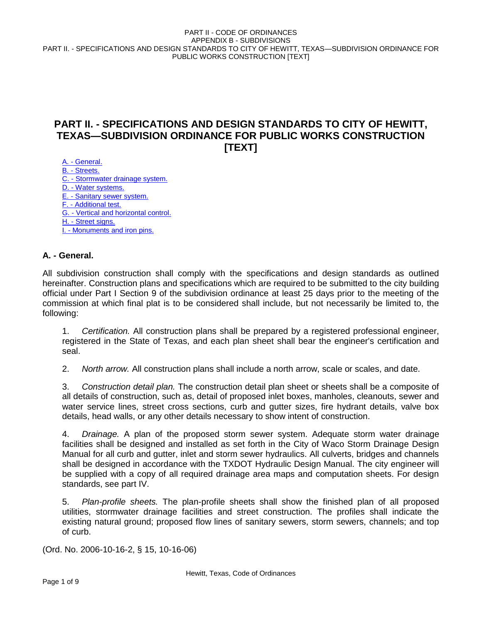# **PART II. - SPECIFICATIONS AND DESIGN STANDARDS TO CITY OF HEWITT, TEXAS—SUBDIVISION ORDINANCE FOR PUBLIC WORKS CONSTRUCTION [TEXT]**

A. - General. B. - Streets. C. - Stormwater drainage system. D. - Water systems. E. - Sanitary sewer system. F. - Additional test. G. - Vertical and horizontal control. H. - Street signs. I. - Monuments and iron pins.

# **A. - General.**

All subdivision construction shall comply with the specifications and design standards as outlined hereinafter. Construction plans and specifications which are required to be submitted to the city building official under Part I Section 9 of the subdivision ordinance at least 25 days prior to the meeting of the commission at which final plat is to be considered shall include, but not necessarily be limited to, the following:

1. *Certification.* All construction plans shall be prepared by a registered professional engineer, registered in the State of Texas, and each plan sheet shall bear the engineer's certification and seal.

2. *North arrow.* All construction plans shall include a north arrow, scale or scales, and date.

3. *Construction detail plan.* The construction detail plan sheet or sheets shall be a composite of all details of construction, such as, detail of proposed inlet boxes, manholes, cleanouts, sewer and water service lines, street cross sections, curb and gutter sizes, fire hydrant details, valve box details, head walls, or any other details necessary to show intent of construction.

4. *Drainage.* A plan of the proposed storm sewer system. Adequate storm water drainage facilities shall be designed and installed as set forth in the City of Waco Storm Drainage Design Manual for all curb and gutter, inlet and storm sewer hydraulics. All culverts, bridges and channels shall be designed in accordance with the TXDOT Hydraulic Design Manual. The city engineer will be supplied with a copy of all required drainage area maps and computation sheets. For design standards, see part IV.

5. *Plan-profile sheets.* The plan-profile sheets shall show the finished plan of all proposed utilities, stormwater drainage facilities and street construction. The profiles shall indicate the existing natural ground; proposed flow lines of sanitary sewers, storm sewers, channels; and top of curb.

(Ord. No. 2006-10-16-2, § 15, 10-16-06)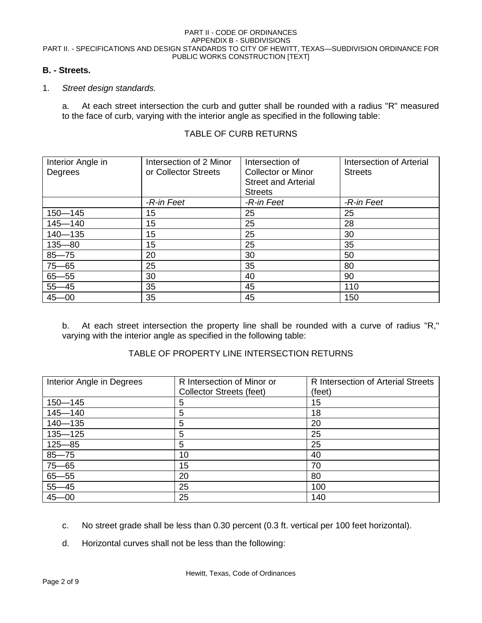# **B. - Streets.**

### 1. *Street design standards.*

a. At each street intersection the curb and gutter shall be rounded with a radius "R" measured to the face of curb, varying with the interior angle as specified in the following table:

| Interior Angle in<br>Degrees | Intersection of 2 Minor<br>or Collector Streets | Intersection of<br>Collector or Minor<br><b>Street and Arterial</b><br><b>Streets</b> | <b>Intersection of Arterial</b><br><b>Streets</b> |
|------------------------------|-------------------------------------------------|---------------------------------------------------------------------------------------|---------------------------------------------------|
|                              | -R-in Feet                                      | -R-in Feet                                                                            | -R-in Feet                                        |
| $150 - 145$                  | 15                                              | 25                                                                                    | 25                                                |
| $145 - 140$                  | 15                                              | 25                                                                                    | 28                                                |
| $140 - 135$                  | 15                                              | 25                                                                                    | 30                                                |
| $135 - 80$                   | 15                                              | 25                                                                                    | 35                                                |
| $85 - 75$                    | 20                                              | 30                                                                                    | 50                                                |
| $75 - 65$                    | 25                                              | 35                                                                                    | 80                                                |
| $65 - 55$                    | 30                                              | 40                                                                                    | 90                                                |
| $55 - 45$                    | 35                                              | 45                                                                                    | 110                                               |
| $45 - 00$                    | 35                                              | 45                                                                                    | 150                                               |

# TABLE OF CURB RETURNS

b. At each street intersection the property line shall be rounded with a curve of radius "R," varying with the interior angle as specified in the following table:

# TABLE OF PROPERTY LINE INTERSECTION RETURNS

| Interior Angle in Degrees | R Intersection of Minor or<br>Collector Streets (feet) | R Intersection of Arterial Streets<br>(feet) |
|---------------------------|--------------------------------------------------------|----------------------------------------------|
| $150 - 145$               | 5                                                      | 15                                           |
| $145 - 140$               | 5                                                      | 18                                           |
| $140 - 135$               | 5                                                      | 20                                           |
| $135 - 125$               | 5                                                      | 25                                           |
| $125 - 85$                | 5                                                      | 25                                           |
| $85 - 75$                 | 10                                                     | 40                                           |
| $75 - 65$                 | 15                                                     | 70                                           |
| $65 - 55$                 | 20                                                     | 80                                           |
| $55 - 45$                 | 25                                                     | 100                                          |
| $45 - 00$                 | 25                                                     | 140                                          |

- c. No street grade shall be less than 0.30 percent (0.3 ft. vertical per 100 feet horizontal).
- d. Horizontal curves shall not be less than the following: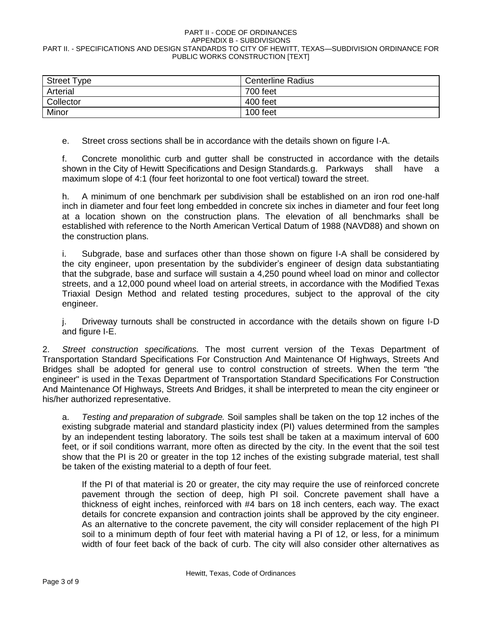| <b>Street Type</b> | <b>Centerline Radius</b> |
|--------------------|--------------------------|
| Arterial           | 700 feet                 |
| Collector          | 400 feet                 |
| Minor              | 100 feet                 |

e. Street cross sections shall be in accordance with the details shown on figure I-A.

f. Concrete monolithic curb and gutter shall be constructed in accordance with the details shown in the City of Hewitt Specifications and Design Standards.g. Parkways shall have a maximum slope of 4:1 (four feet horizontal to one foot vertical) toward the street.

h. A minimum of one benchmark per subdivision shall be established on an iron rod one-half inch in diameter and four feet long embedded in concrete six inches in diameter and four feet long at a location shown on the construction plans. The elevation of all benchmarks shall be established with reference to the North American Vertical Datum of 1988 (NAVD88) and shown on the construction plans.

i. Subgrade, base and surfaces other than those shown on figure I-A shall be considered by the city engineer, upon presentation by the subdivider's engineer of design data substantiating that the subgrade, base and surface will sustain a 4,250 pound wheel load on minor and collector streets, and a 12,000 pound wheel load on arterial streets, in accordance with the Modified Texas Triaxial Design Method and related testing procedures, subject to the approval of the city engineer.

j. Driveway turnouts shall be constructed in accordance with the details shown on figure I-D and figure I-E.

2. *Street construction specifications.* The most current version of the Texas Department of Transportation Standard Specifications For Construction And Maintenance Of Highways, Streets And Bridges shall be adopted for general use to control construction of streets. When the term "the engineer" is used in the Texas Department of Transportation Standard Specifications For Construction And Maintenance Of Highways, Streets And Bridges, it shall be interpreted to mean the city engineer or his/her authorized representative.

a. *Testing and preparation of subgrade.* Soil samples shall be taken on the top 12 inches of the existing subgrade material and standard plasticity index (PI) values determined from the samples by an independent testing laboratory. The soils test shall be taken at a maximum interval of 600 feet, or if soil conditions warrant, more often as directed by the city. In the event that the soil test show that the PI is 20 or greater in the top 12 inches of the existing subgrade material, test shall be taken of the existing material to a depth of four feet.

If the PI of that material is 20 or greater, the city may require the use of reinforced concrete pavement through the section of deep, high PI soil. Concrete pavement shall have a thickness of eight inches, reinforced with #4 bars on 18 inch centers, each way. The exact details for concrete expansion and contraction joints shall be approved by the city engineer. As an alternative to the concrete pavement, the city will consider replacement of the high PI soil to a minimum depth of four feet with material having a PI of 12, or less, for a minimum width of four feet back of the back of curb. The city will also consider other alternatives as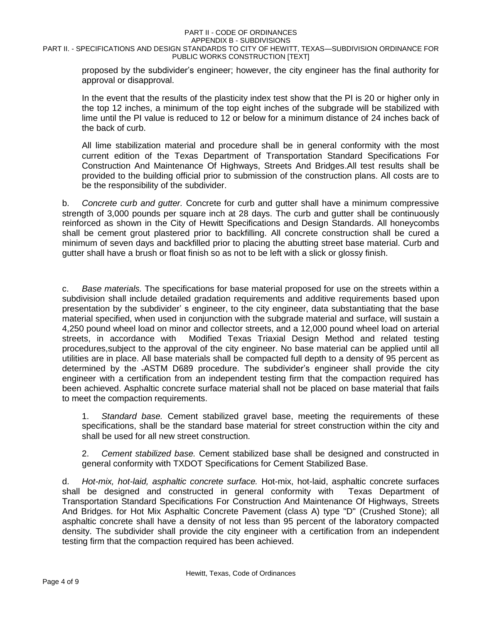proposed by the subdivider's engineer; however, the city engineer has the final authority for approval or disapproval.

In the event that the results of the plasticity index test show that the PI is 20 or higher only in the top 12 inches, a minimum of the top eight inches of the subgrade will be stabilized with lime until the PI value is reduced to 12 or below for a minimum distance of 24 inches back of the back of curb.

All lime stabilization material and procedure shall be in general conformity with the most current edition of the Texas Department of Transportation Standard Specifications For Construction And Maintenance Of Highways, Streets And Bridges.All test results shall be provided to the building official prior to submission of the construction plans. All costs are to be the responsibility of the subdivider.

b. *Concrete curb and gutter.* Concrete for curb and gutter shall have a minimum compressive strength of 3,000 pounds per square inch at 28 days. The curb and gutter shall be continuously reinforced as shown in the City of Hewitt Specifications and Design Standards. All honeycombs shall be cement grout plastered prior to backfilling. All concrete construction shall be cured a minimum of seven days and backfilled prior to placing the abutting street base material. Curb and gutter shall have a brush or float finish so as not to be left with a slick or glossy finish.

c. *Base materials.* The specifications for base material proposed for use on the streets within a subdivision shall include detailed gradation requirements and additive requirements based upon presentation by the subdivider' s engineer, to the city engineer, data substantiating that the base material specified, when used in conjunction with the subgrade material and surface, will sustain a 4,250 pound wheel load on minor and collector streets, and a 12,000 pound wheel load on arterial streets, in accordance with Modified Texas Triaxial Design Method and related testing procedures,subject to the approval of the city engineer. No base material can be applied until all utilities are in place. All base materials shall be compacted full depth to a density of 95 percent as determined by the .ASTM D689 procedure. The subdivider's engineer shall provide the city engineer with a certification from an independent testing firm that the compaction required has been achieved. Asphaltic concrete surface material shall not be placed on base material that fails to meet the compaction requirements.

1. *Standard base.* Cement stabilized gravel base, meeting the requirements of these specifications, shall be the standard base material for street construction within the city and shall be used for all new street construction.

2. *Cement stabilized base.* Cement stabilized base shall be designed and constructed in general conformity with TXDOT Specifications for Cement Stabilized Base.

d. *Hot-mix, hot-laid, asphaltic concrete surface.* Hot-mix, hot-laid, asphaltic concrete surfaces shall be designed and constructed in general conformity with Texas Department of Transportation Standard Specifications For Construction And Maintenance Of Highways, Streets And Bridges. for Hot Mix Asphaltic Concrete Pavement (class A) type "D" (Crushed Stone); all asphaltic concrete shall have a density of not less than 95 percent of the laboratory compacted density. The subdivider shall provide the city engineer with a certification from an independent testing firm that the compaction required has been achieved.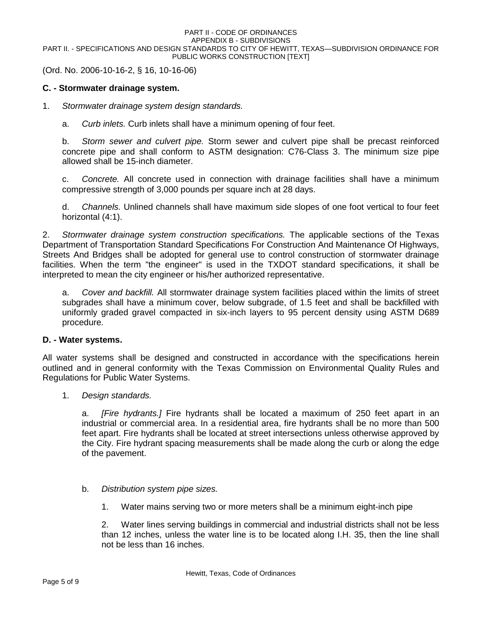(Ord. No. 2006-10-16-2, § 16, 10-16-06)

### **C. - Stormwater drainage system.**

- 1. *Stormwater drainage system design standards.*
	- a. *Curb inlets.* Curb inlets shall have a minimum opening of four feet.

b. *Storm sewer and culvert pipe.* Storm sewer and culvert pipe shall be precast reinforced concrete pipe and shall conform to ASTM designation: C76-Class 3. The minimum size pipe allowed shall be 15-inch diameter.

c. *Concrete.* All concrete used in connection with drainage facilities shall have a minimum compressive strength of 3,000 pounds per square inch at 28 days.

d. *Channels.* Unlined channels shall have maximum side slopes of one foot vertical to four feet horizontal (4:1).

2. *Stormwater drainage system construction specifications.* The applicable sections of the Texas Department of Transportation Standard Specifications For Construction And Maintenance Of Highways, Streets And Bridges shall be adopted for general use to control construction of stormwater drainage facilities. When the term "the engineer" is used in the TXDOT standard specifications, it shall be interpreted to mean the city engineer or his/her authorized representative.

a. *Cover and backfill.* All stormwater drainage system facilities placed within the limits of street subgrades shall have a minimum cover, below subgrade, of 1.5 feet and shall be backfilled with uniformly graded gravel compacted in six-inch layers to 95 percent density using ASTM D689 procedure.

### **D. - Water systems.**

All water systems shall be designed and constructed in accordance with the specifications herein outlined and in general conformity with the Texas Commission on Environmental Quality Rules and Regulations for Public Water Systems.

1. *Design standards.*

a. *[Fire hydrants.]* Fire hydrants shall be located a maximum of 250 feet apart in an industrial or commercial area. In a residential area, fire hydrants shall be no more than 500 feet apart. Fire hydrants shall be located at street intersections unless otherwise approved by the City. Fire hydrant spacing measurements shall be made along the curb or along the edge of the pavement.

### b. *Distribution system pipe sizes.*

1. Water mains serving two or more meters shall be a minimum eight-inch pipe

2. Water lines serving buildings in commercial and industrial districts shall not be less than 12 inches, unless the water line is to be located along I.H. 35, then the line shall not be less than 16 inches.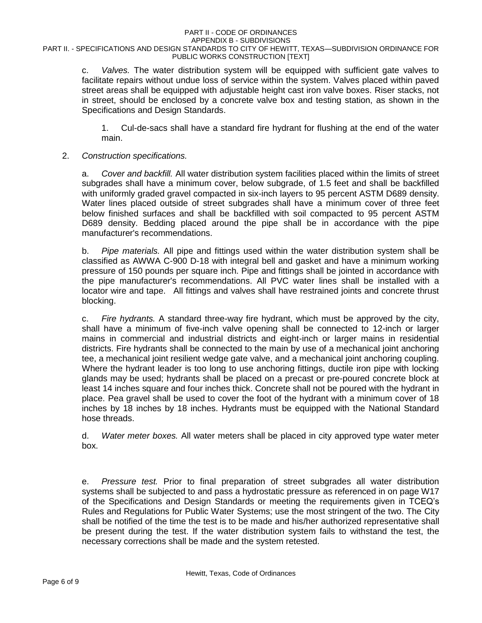#### PART II - CODE OF ORDINANCES APPENDIX B - SUBDIVISIONS

### PART II. - SPECIFICATIONS AND DESIGN STANDARDS TO CITY OF HEWITT, TEXAS—SUBDIVISION ORDINANCE FOR PUBLIC WORKS CONSTRUCTION [TEXT]

c. *Valves.* The water distribution system will be equipped with sufficient gate valves to facilitate repairs without undue loss of service within the system. Valves placed within paved street areas shall be equipped with adjustable height cast iron valve boxes. Riser stacks, not in street, should be enclosed by a concrete valve box and testing station, as shown in the Specifications and Design Standards.

1. Cul-de-sacs shall have a standard fire hydrant for flushing at the end of the water main.

### 2. *Construction specifications.*

a. *Cover and backfill.* All water distribution system facilities placed within the limits of street subgrades shall have a minimum cover, below subgrade, of 1.5 feet and shall be backfilled with uniformly graded gravel compacted in six-inch layers to 95 percent ASTM D689 density. Water lines placed outside of street subgrades shall have a minimum cover of three feet below finished surfaces and shall be backfilled with soil compacted to 95 percent ASTM D689 density. Bedding placed around the pipe shall be in accordance with the pipe manufacturer's recommendations.

b. *Pipe materials.* All pipe and fittings used within the water distribution system shall be classified as AWWA C-900 D-18 with integral bell and gasket and have a minimum working pressure of 150 pounds per square inch. Pipe and fittings shall be jointed in accordance with the pipe manufacturer's recommendations. All PVC water lines shall be installed with a locator wire and tape. All fittings and valves shall have restrained joints and concrete thrust blocking.

c. *Fire hydrants.* A standard three-way fire hydrant, which must be approved by the city, shall have a minimum of five-inch valve opening shall be connected to 12-inch or larger mains in commercial and industrial districts and eight-inch or larger mains in residential districts. Fire hydrants shall be connected to the main by use of a mechanical joint anchoring tee, a mechanical joint resilient wedge gate valve, and a mechanical joint anchoring coupling. Where the hydrant leader is too long to use anchoring fittings, ductile iron pipe with locking glands may be used; hydrants shall be placed on a precast or pre-poured concrete block at least 14 inches square and four inches thick. Concrete shall not be poured with the hydrant in place. Pea gravel shall be used to cover the foot of the hydrant with a minimum cover of 18 inches by 18 inches by 18 inches. Hydrants must be equipped with the National Standard hose threads.

d. *Water meter boxes.* All water meters shall be placed in city approved type water meter box.

e. *Pressure test.* Prior to final preparation of street subgrades all water distribution systems shall be subjected to and pass a hydrostatic pressure as referenced in on page W17 of the Specifications and Design Standards or meeting the requirements given in TCEQ's Rules and Regulations for Public Water Systems; use the most stringent of the two. The City shall be notified of the time the test is to be made and his/her authorized representative shall be present during the test. If the water distribution system fails to withstand the test, the necessary corrections shall be made and the system retested.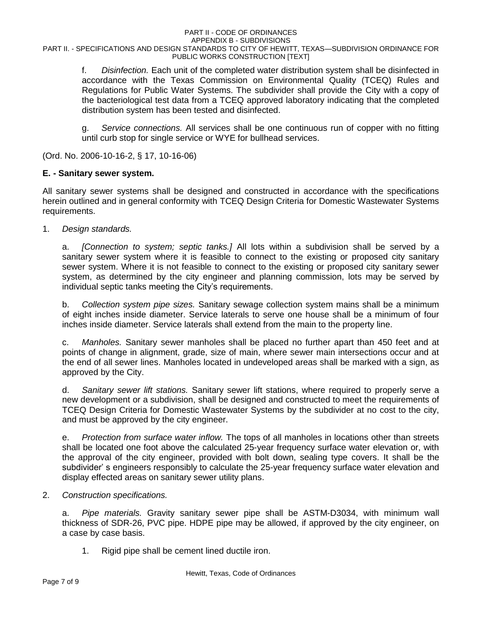#### PART II - CODE OF ORDINANCES APPENDIX B - SUBDIVISIONS

### PART II. - SPECIFICATIONS AND DESIGN STANDARDS TO CITY OF HEWITT, TEXAS—SUBDIVISION ORDINANCE FOR PUBLIC WORKS CONSTRUCTION [TEXT]

f. *Disinfection.* Each unit of the completed water distribution system shall be disinfected in accordance with the Texas Commission on Environmental Quality (TCEQ) Rules and Regulations for Public Water Systems. The subdivider shall provide the City with a copy of the bacteriological test data from a TCEQ approved laboratory indicating that the completed distribution system has been tested and disinfected.

g. *Service connections.* All services shall be one continuous run of copper with no fitting until curb stop for single service or WYE for bullhead services.

(Ord. No. 2006-10-16-2, § 17, 10-16-06)

# **E. - Sanitary sewer system.**

All sanitary sewer systems shall be designed and constructed in accordance with the specifications herein outlined and in general conformity with TCEQ Design Criteria for Domestic Wastewater Systems requirements.

1. *Design standards.*

a. *[Connection to system; septic tanks.]* All lots within a subdivision shall be served by a sanitary sewer system where it is feasible to connect to the existing or proposed city sanitary sewer system. Where it is not feasible to connect to the existing or proposed city sanitary sewer system, as determined by the city engineer and planning commission, lots may be served by individual septic tanks meeting the City's requirements.

b. *Collection system pipe sizes.* Sanitary sewage collection system mains shall be a minimum of eight inches inside diameter. Service laterals to serve one house shall be a minimum of four inches inside diameter. Service laterals shall extend from the main to the property line.

c. *Manholes.* Sanitary sewer manholes shall be placed no further apart than 450 feet and at points of change in alignment, grade, size of main, where sewer main intersections occur and at the end of all sewer lines. Manholes located in undeveloped areas shall be marked with a sign, as approved by the City.

d. *Sanitary sewer lift stations.* Sanitary sewer lift stations, where required to properly serve a new development or a subdivision, shall be designed and constructed to meet the requirements of TCEQ Design Criteria for Domestic Wastewater Systems by the subdivider at no cost to the city, and must be approved by the city engineer.

e. *Protection from surface water inflow.* The tops of all manholes in locations other than streets shall be located one foot above the calculated 25-year frequency surface water elevation or, with the approval of the city engineer, provided with bolt down, sealing type covers. It shall be the subdivider' s engineers responsibly to calculate the 25-year frequency surface water elevation and display effected areas on sanitary sewer utility plans.

2. *Construction specifications.*

a. *Pipe materials.* Gravity sanitary sewer pipe shall be ASTM-D3034, with minimum wall thickness of SDR-26, PVC pipe. HDPE pipe may be allowed, if approved by the city engineer, on a case by case basis.

1. Rigid pipe shall be cement lined ductile iron.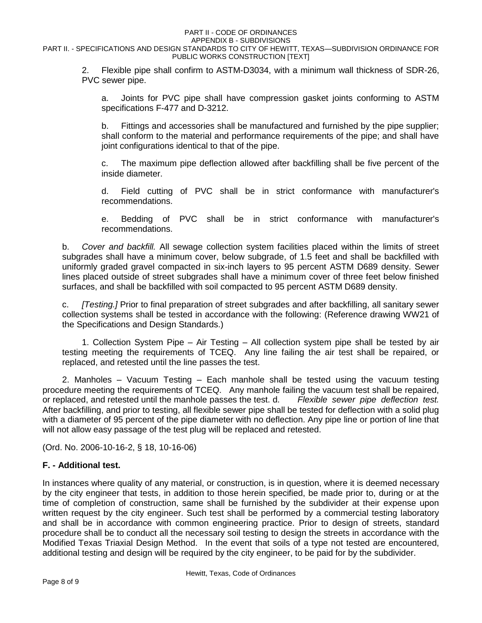#### PART II - CODE OF ORDINANCES APPENDIX B - SUBDIVISIONS

PART II. - SPECIFICATIONS AND DESIGN STANDARDS TO CITY OF HEWITT, TEXAS—SUBDIVISION ORDINANCE FOR PUBLIC WORKS CONSTRUCTION [TEXT]

2. Flexible pipe shall confirm to ASTM-D3034, with a minimum wall thickness of SDR-26, PVC sewer pipe.

a. Joints for PVC pipe shall have compression gasket joints conforming to ASTM specifications F-477 and D-3212.

b. Fittings and accessories shall be manufactured and furnished by the pipe supplier; shall conform to the material and performance requirements of the pipe; and shall have joint configurations identical to that of the pipe.

c. The maximum pipe deflection allowed after backfilling shall be five percent of the inside diameter.

d. Field cutting of PVC shall be in strict conformance with manufacturer's recommendations.

e. Bedding of PVC shall be in strict conformance with manufacturer's recommendations.

b. *Cover and backfill.* All sewage collection system facilities placed within the limits of street subgrades shall have a minimum cover, below subgrade, of 1.5 feet and shall be backfilled with uniformly graded gravel compacted in six-inch layers to 95 percent ASTM D689 density. Sewer lines placed outside of street subgrades shall have a minimum cover of three feet below finished surfaces, and shall be backfilled with soil compacted to 95 percent ASTM D689 density.

c. *[Testing.]* Prior to final preparation of street subgrades and after backfilling, all sanitary sewer collection systems shall be tested in accordance with the following: (Reference drawing WW21 of the Specifications and Design Standards.)

1. Collection System Pipe – Air Testing – All collection system pipe shall be tested by air testing meeting the requirements of TCEQ. Any line failing the air test shall be repaired, or replaced, and retested until the line passes the test.

2. Manholes – Vacuum Testing – Each manhole shall be tested using the vacuum testing procedure meeting the requirements of TCEQ. Any manhole failing the vacuum test shall be repaired, or replaced, and retested until the manhole passes the test. d. *Flexible sewer pipe deflection test.* After backfilling, and prior to testing, all flexible sewer pipe shall be tested for deflection with a solid plug with a diameter of 95 percent of the pipe diameter with no deflection. Any pipe line or portion of line that will not allow easy passage of the test plug will be replaced and retested.

(Ord. No. 2006-10-16-2, § 18, 10-16-06)

# **F. - Additional test.**

In instances where quality of any material, or construction, is in question, where it is deemed necessary by the city engineer that tests, in addition to those herein specified, be made prior to, during or at the time of completion of construction, same shall be furnished by the subdivider at their expense upon written request by the city engineer. Such test shall be performed by a commercial testing laboratory and shall be in accordance with common engineering practice. Prior to design of streets, standard procedure shall be to conduct all the necessary soil testing to design the streets in accordance with the Modified Texas Triaxial Design Method. In the event that soils of a type not tested are encountered, additional testing and design will be required by the city engineer, to be paid for by the subdivider.